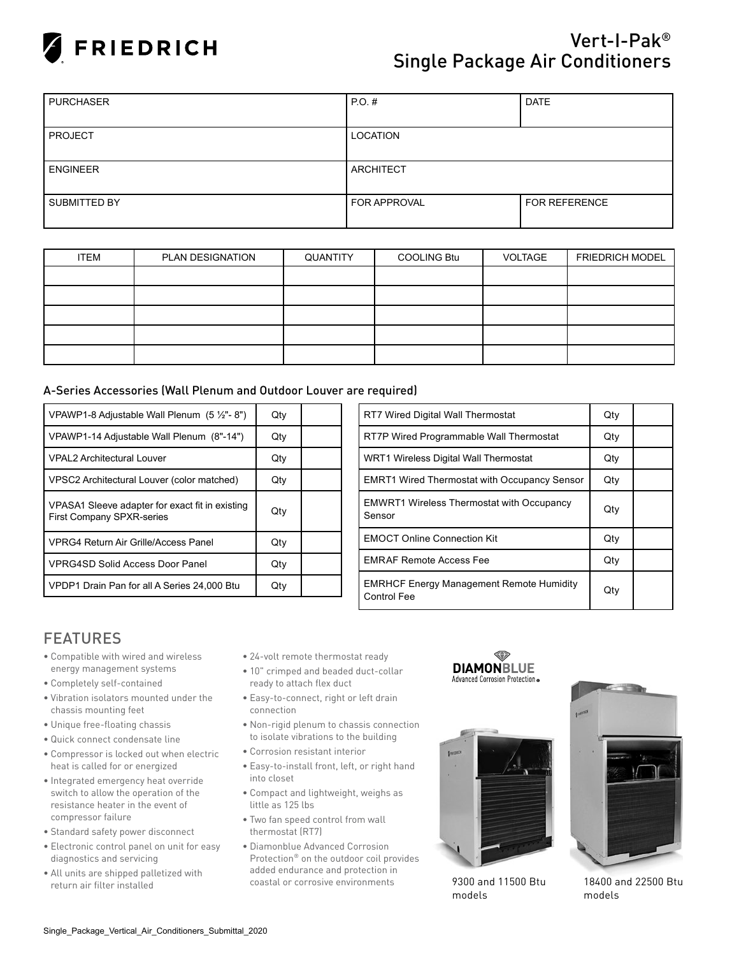

## Vert-I-Pak® Single Package Air Conditioners

| <b>PURCHASER</b> | <b>PO.#</b>         | <b>DATE</b>          |  |  |
|------------------|---------------------|----------------------|--|--|
|                  |                     |                      |  |  |
| <b>PROJECT</b>   | LOCATION            |                      |  |  |
|                  |                     |                      |  |  |
| <b>ENGINEER</b>  | <b>ARCHITECT</b>    |                      |  |  |
|                  |                     |                      |  |  |
| SUBMITTED BY     | <b>FOR APPROVAL</b> | <b>FOR REFERENCE</b> |  |  |
|                  |                     |                      |  |  |

| <b>ITEM</b> | <b>PLAN DESIGNATION</b> | QUANTITY | <b>COOLING Btu</b> | VOLTAGE | <b>FRIEDRICH MODEL</b> |  |  |
|-------------|-------------------------|----------|--------------------|---------|------------------------|--|--|
|             |                         |          |                    |         |                        |  |  |
|             |                         |          |                    |         |                        |  |  |
|             |                         |          |                    |         |                        |  |  |
|             |                         |          |                    |         |                        |  |  |
|             |                         |          |                    |         |                        |  |  |

## A-Series Accessories (Wall Plenum and Outdoor Louver are required)

| VPAWP1-8 Adjustable Wall Plenum $(5 \frac{1}{2} - 8)$                               | Qty |  |
|-------------------------------------------------------------------------------------|-----|--|
| VPAWP1-14 Adjustable Wall Plenum (8"-14")                                           | Qty |  |
| <b>VPAL2 Architectural Louver</b>                                                   | Qty |  |
| VPSC2 Architectural Louver (color matched)                                          | Qty |  |
| VPASA1 Sleeve adapter for exact fit in existing<br><b>First Company SPXR-series</b> | Qty |  |
| <b>VPRG4 Return Air Grille/Access Panel</b>                                         | Qty |  |
| <b>VPRG4SD Solid Access Door Panel</b>                                              | Qty |  |
| VPDP1 Drain Pan for all A Series 24,000 Btu                                         | Qtv |  |

| <b>RT7 Wired Digital Wall Thermostat</b>                              | Qty |  |
|-----------------------------------------------------------------------|-----|--|
| RT7P Wired Programmable Wall Thermostat                               | Qty |  |
| WRT1 Wireless Digital Wall Thermostat                                 | Qty |  |
| <b>EMRT1 Wired Thermostat with Occupancy Sensor</b>                   | Qty |  |
| <b>EMWRT1 Wireless Thermostat with Occupancy</b><br>Sensor            | Qty |  |
| <b>EMOCT Online Connection Kit</b>                                    | Qty |  |
| <b>EMRAF Remote Access Fee</b>                                        | Qty |  |
| <b>EMRHCF Energy Management Remote Humidity</b><br><b>Control Fee</b> | Qty |  |

## FEATURES

- Compatible with wired and wireless energy management systems
- Completely self-contained
- Vibration isolators mounted under the chassis mounting feet
- • Unique free-floating chassis
- Quick connect condensate line
- Compressor is locked out when electric heat is called for or energized
- Integrated emergency heat override switch to allow the operation of the resistance heater in the event of compressor failure
- Standard safety power disconnect
- Electronic control panel on unit for easy diagnostics and servicing
- All units are shipped palletized with return air filter installed
- 24-volt remote thermostat ready
- 10" crimped and beaded duct-collar ready to attach flex duct
- Easy-to-connect, right or left drain connection
- Non-rigid plenum to chassis connection to isolate vibrations to the building
- Corrosion resistant interior
- Easy-to-install front, left, or right hand into closet
- Compact and lightweight, weighs as little as 125 lbs
- Two fan speed control from wall thermostat (RT7)
- Diamonblue Advanced Corrosion Protection® on the outdoor coil provides added endurance and protection in coastal or corrosive environments 9300 and 11500 Btu





models



18400 and 22500 Btu models